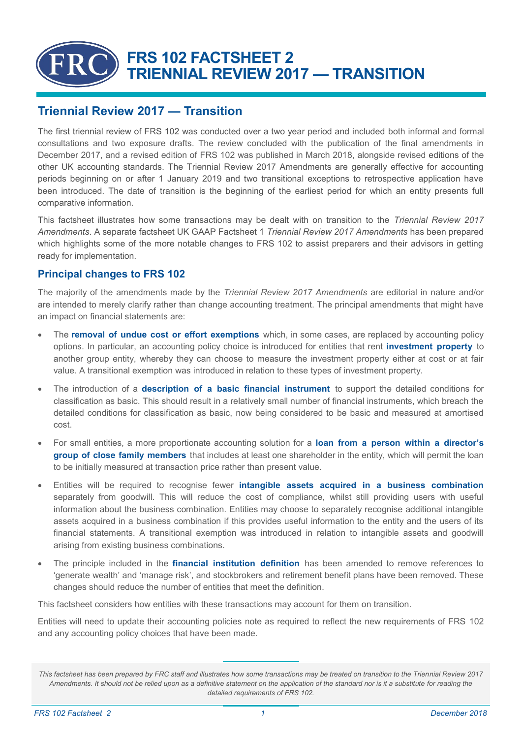# **FRS 102 FACTSHEET 2 TRIENNIAL REVIEW 2017 — TRANSITION**

# **Triennial Review 2017 — Transition**

The first triennial review of FRS 102 was conducted over a two year period and included both informal and formal consultations and two exposure drafts. The review concluded with the publication of the final [amendments](https://www.frc.org.uk/getattachment/9be202ba-351d-4e38-9d09-1982cb20d666/Amendments-to-FRS-102-Triennial-Review-2017-(Dec-2017).pdf) in December 2017, and a revised edition of [FRS 102](https://www.frc.org.uk/getattachment/69f7d814-c806-4ccc-b451-aba50d6e8de2/FRS-102-FRS-applicable-in-the-UK-and-Republic-of-Ireland-(March-2018).pdf) was published in March 2018, alongside revised editions of the other UK accounting standards. The Triennial Review 2017 Amendments are generally effective for accounting periods beginning on or after 1 January 2019 and two transitional exceptions to retrospective application have been introduced. The date of transition is the beginning of the earliest period for which an entity presents full comparative information.

This factsheet illustrates how some transactions may be dealt with on transition to the *Triennial Review 2017 Amendments*. A separate factsheet UK GAAP Factsheet 1 *Triennial Review 2017 Amendments* has been prepared which highlights some of the more notable changes to FRS 102 to assist preparers and their advisors in getting ready for implementation.

## **Principal changes to FRS 102**

The majority of the amendments made by the *Triennial Review 2017 Amendments* are editorial in nature and/or are intended to merely clarify rather than change accounting treatment. The principal amendments that might have an impact on financial statements are:

- The **removal of undue cost or effort exemptions** which, in some cases, are replaced by accounting policy options. In particular, an accounting policy choice is introduced for entities that rent **investment property** to another group entity, whereby they can choose to measure the investment property either at cost or at fair value. A transitional exemption was introduced in relation to these types of investment property.
- The introduction of a **description of a basic financial instrument** to support the detailed conditions for classification as basic. This should result in a relatively small number of financial instruments, which breach the detailed conditions for classification as basic, now being considered to be basic and measured at amortised cost.
- For small entities, a more proportionate accounting solution for a **loan from a person within a director's group of close family members** that includes at least one shareholder in the entity, which will permit the loan to be initially measured at transaction price rather than present value.
- Entities will be required to recognise fewer **intangible assets acquired in a business combination**  separately from goodwill. This will reduce the cost of compliance, whilst still providing users with useful information about the business combination. Entities may choose to separately recognise additional intangible assets acquired in a business combination if this provides useful information to the entity and the users of its financial statements. A transitional exemption was introduced in relation to intangible assets and goodwill arising from existing business combinations.
- The principle included in the **financial institution definition** has been amended to remove references to 'generate wealth' and 'manage risk', and stockbrokers and retirement benefit plans have been removed. These changes should reduce the number of entities that meet the definition.

This factsheet considers how entities with these transactions may account for them on transition.

Entities will need to update their accounting policies note as required to reflect the new requirements of FRS 102 and any accounting policy choices that have been made.

*This factsheet has been prepared by FRC staff and illustrates how some transactions may be treated on transition to the Triennial Review 2017 Amendments. It should not be relied upon as a definitive statement on the application of the standard nor is it a substitute for reading the detailed requirements of FRS 102.*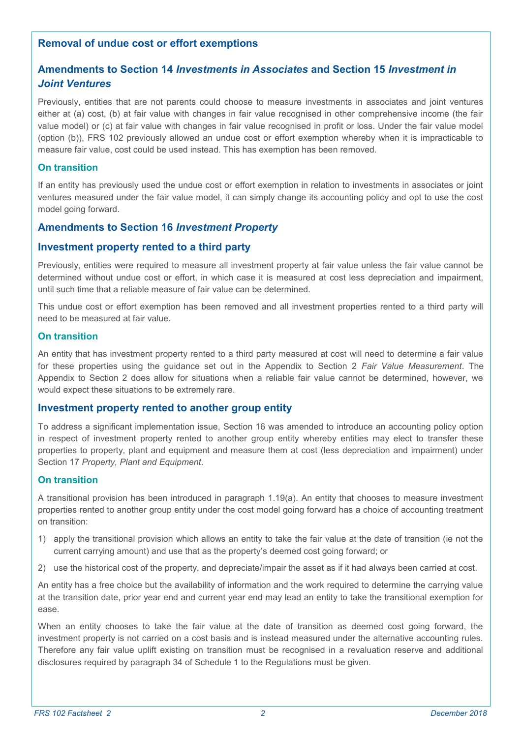## **Removal of undue cost or effort exemptions**

## **Amendments to Section 14** *Investments in Associates* **and Section 15** *Investment in Joint Ventures*

Previously, entities that are not parents could choose to measure investments in associates and joint ventures either at (a) cost, (b) at fair value with changes in fair value recognised in other comprehensive income (the fair value model) or (c) at fair value with changes in fair value recognised in profit or loss. Under the fair value model (option (b)), FRS 102 previously allowed an undue cost or effort exemption whereby when it is impracticable to measure fair value, cost could be used instead. This has exemption has been removed.

#### **On transition**

If an entity has previously used the undue cost or effort exemption in relation to investments in associates or joint ventures measured under the fair value model, it can simply change its accounting policy and opt to use the cost model going forward.

## **Amendments to Section 16** *Investment Property*

## **Investment property rented to a third party**

Previously, entities were required to measure all investment property at fair value unless the fair value cannot be determined without undue cost or effort, in which case it is measured at cost less depreciation and impairment, until such time that a reliable measure of fair value can be determined.

This undue cost or effort exemption has been removed and all investment properties rented to a third party will need to be measured at fair value.

#### **On transition**

An entity that has investment property rented to a third party measured at cost will need to determine a fair value for these properties using the guidance set out in the Appendix to Section 2 *Fair Value Measurement*. The Appendix to Section 2 does allow for situations when a reliable fair value cannot be determined, however, we would expect these situations to be extremely rare.

#### **Investment property rented to another group entity**

To address a significant implementation issue, Section 16 was amended to introduce an accounting policy option in respect of investment property rented to another group entity whereby entities may elect to transfer these properties to property, plant and equipment and measure them at cost (less depreciation and impairment) under Section 17 *Property, Plant and Equipment*.

#### **On transition**

A transitional provision has been introduced in paragraph 1.19(a). An entity that chooses to measure investment properties rented to another group entity under the cost model going forward has a choice of accounting treatment on transition:

- 1) apply the transitional provision which allows an entity to take the fair value at the date of transition (ie not the current carrying amount) and use that as the property's deemed cost going forward; or
- 2) use the historical cost of the property, and depreciate/impair the asset as if it had always been carried at cost.

An entity has a free choice but the availability of information and the work required to determine the carrying value at the transition date, prior year end and current year end may lead an entity to take the transitional exemption for ease.

When an entity chooses to take the fair value at the date of transition as deemed cost going forward, the investment property is not carried on a cost basis and is instead measured under the alternative accounting rules. Therefore any fair value uplift existing on transition must be recognised in a revaluation reserve and additional disclosures required by paragraph 34 of Schedule 1 to the Regulations must be given.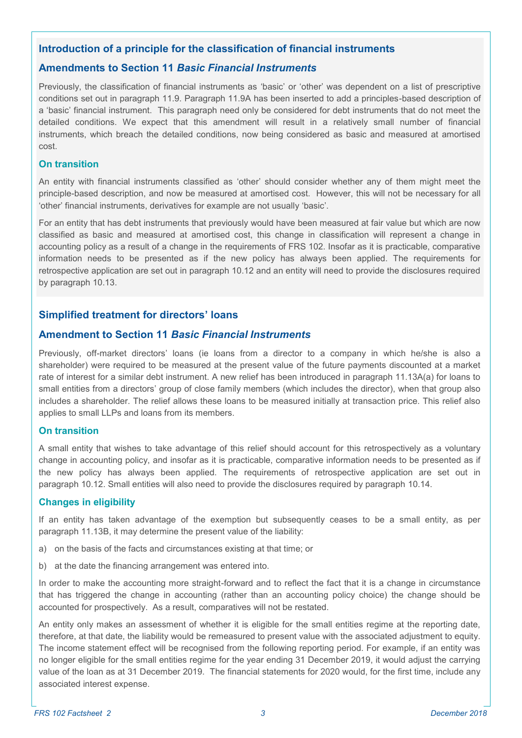## **Introduction of a principle for the classification of financial instruments**

## **Amendments to Section 11** *Basic Financial Instruments*

Previously, the classification of financial instruments as 'basic' or 'other' was dependent on a list of prescriptive conditions set out in paragraph 11.9. Paragraph 11.9A has been inserted to add a principles-based description of a 'basic' financial instrument. This paragraph need only be considered for debt instruments that do not meet the detailed conditions. We expect that this amendment will result in a relatively small number of financial instruments, which breach the detailed conditions, now being considered as basic and measured at amortised cost.

#### **On transition**

An entity with financial instruments classified as 'other' should consider whether any of them might meet the principle-based description, and now be measured at amortised cost. However, this will not be necessary for all 'other' financial instruments, derivatives for example are not usually 'basic'.

For an entity that has debt instruments that previously would have been measured at fair value but which are now classified as basic and measured at amortised cost, this change in classification will represent a change in accounting policy as a result of a change in the requirements of FRS 102. Insofar as it is practicable, comparative information needs to be presented as if the new policy has always been applied. The requirements for retrospective application are set out in paragraph 10.12 and an entity will need to provide the disclosures required by paragraph 10.13.

## **Simplified treatment for directors' loans**

## **Amendment to Section 11** *Basic Financial Instruments*

Previously, off-market directors' loans (ie loans from a director to a company in which he/she is also a shareholder) were required to be measured at the present value of the future payments discounted at a market rate of interest for a similar debt instrument. A new relief has been introduced in paragraph 11.13A(a) for loans to small entities from a directors' group of close family members (which includes the director), when that group also includes a shareholder. The relief allows these loans to be measured initially at transaction price. This relief also applies to small LLPs and loans from its members.

#### **On transition**

A small entity that wishes to take advantage of this relief should account for this retrospectively as a voluntary change in accounting policy, and insofar as it is practicable, comparative information needs to be presented as if the new policy has always been applied. The requirements of retrospective application are set out in paragraph 10.12. Small entities will also need to provide the disclosures required by paragraph 10.14.

#### **Changes in eligibility**

If an entity has taken advantage of the exemption but subsequently ceases to be a small entity, as per paragraph 11.13B, it may determine the present value of the liability:

- a) on the basis of the facts and circumstances existing at that time; or
- b) at the date the financing arrangement was entered into.

In order to make the accounting more straight-forward and to reflect the fact that it is a change in circumstance that has triggered the change in accounting (rather than an accounting policy choice) the change should be accounted for prospectively. As a result, comparatives will not be restated.

An entity only makes an assessment of whether it is eligible for the small entities regime at the reporting date, therefore, at that date, the liability would be remeasured to present value with the associated adjustment to equity. The income statement effect will be recognised from the following reporting period. For example, if an entity was no longer eligible for the small entities regime for the year ending 31 December 2019, it would adjust the carrying value of the loan as at 31 December 2019. The financial statements for 2020 would, for the first time, include any associated interest expense.